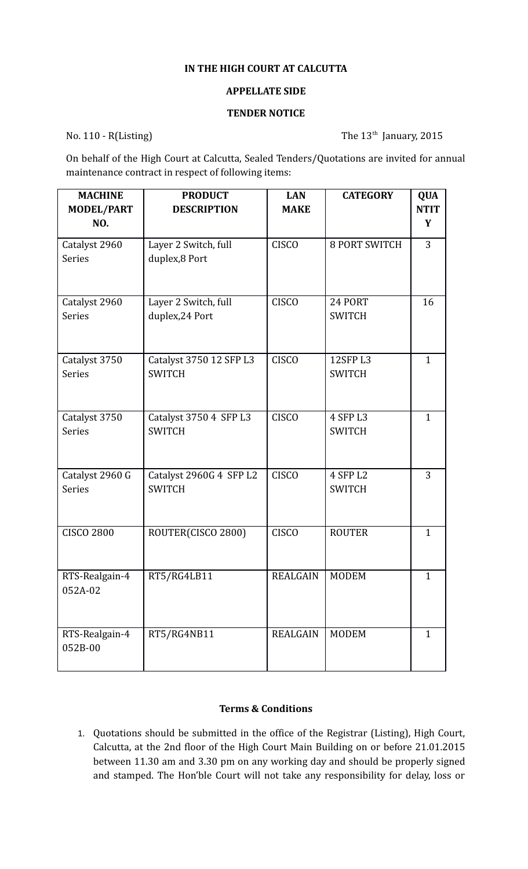## **IN THE HIGH COURT AT CALCUTTA**

## **APPELLATE SIDE**

## **TENDER NOTICE**

No. 110 - R(Listing) The 13<sup>th</sup> January, 2015

On behalf of the High Court at Calcutta, Sealed Tenders/Quotations are invited for annual maintenance contract in respect of following items:

| <b>MACHINE</b>            | <b>PRODUCT</b>          | <b>LAN</b>       | <b>CATEGORY</b>      | <b>QUA</b>     |
|---------------------------|-------------------------|------------------|----------------------|----------------|
| <b>MODEL/PART</b>         | <b>DESCRIPTION</b>      | <b>MAKE</b>      |                      | <b>NTIT</b>    |
| NO.                       |                         |                  |                      | Y              |
| Catalyst 2960             | Layer 2 Switch, full    | <b>CISCO</b>     | <b>8 PORT SWITCH</b> | $\overline{3}$ |
| <b>Series</b>             | duplex,8 Port           |                  |                      |                |
| Catalyst 2960             | Layer 2 Switch, full    | <b>CISCO</b>     | 24 PORT              | 16             |
| <b>Series</b>             | duplex, 24 Port         |                  | <b>SWITCH</b>        |                |
| Catalyst 3750             | Catalyst 3750 12 SFP L3 | <b>CISCO</b>     | <b>12SFP L3</b>      | $\mathbf{1}$   |
| <b>Series</b>             | <b>SWITCH</b>           |                  | <b>SWITCH</b>        |                |
| Catalyst 3750             | Catalyst 3750 4 SFP L3  | <b>CISCO</b>     | 4 SFP L3             | $\mathbf{1}$   |
| Series                    | <b>SWITCH</b>           |                  | <b>SWITCH</b>        |                |
| Catalyst 2960 G           | Catalyst 2960G 4 SFP L2 | <b>CISCO</b>     | 4 SFP L2             | 3              |
| <b>Series</b>             | <b>SWITCH</b>           |                  | <b>SWITCH</b>        |                |
| <b>CISCO 2800</b>         | ROUTER(CISCO 2800)      | <b>CISCO</b>     | <b>ROUTER</b>        | $\mathbf{1}$   |
| RTS-Realgain-4<br>052A-02 | RT5/RG4LB11             | REALGAIN   MODEM |                      | $\mathbf{1}$   |
| RTS-Realgain-4<br>052B-00 | RT5/RG4NB11             | <b>REALGAIN</b>  | <b>MODEM</b>         | $\mathbf{1}$   |

## **Terms & Conditions**

1. Quotations should be submitted in the office of the Registrar (Listing), High Court, Calcutta, at the 2nd floor of the High Court Main Building on or before 21.01.2015 between 11.30 am and 3.30 pm on any working day and should be properly signed and stamped. The Hon'ble Court will not take any responsibility for delay, loss or